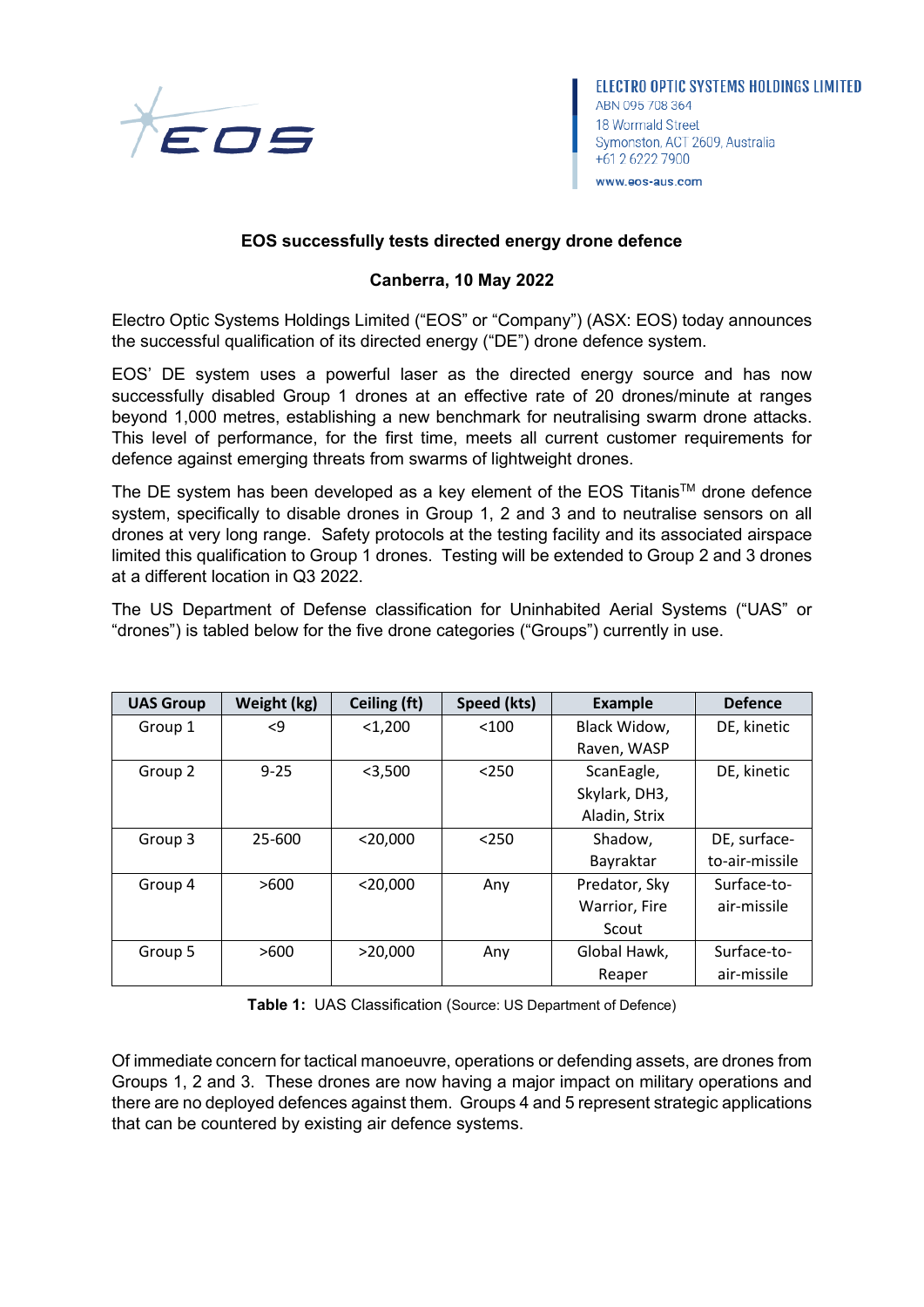

ELECTRO OPTIC SYSTEMS HOLDINGS LIMITED ABN 095 708 364 18 Wormald Street Symonston, ACT 2609, Australia +61 2 6222 7900 www.eos-aus.com

## **EOS successfully tests directed energy drone defence**

## **Canberra, 10 May 2022**

Electro Optic Systems Holdings Limited ("EOS" or "Company") (ASX: EOS) today announces the successful qualification of its directed energy ("DE") drone defence system.

EOS' DE system uses a powerful laser as the directed energy source and has now successfully disabled Group 1 drones at an effective rate of 20 drones/minute at ranges beyond 1,000 metres, establishing a new benchmark for neutralising swarm drone attacks. This level of performance, for the first time, meets all current customer requirements for defence against emerging threats from swarms of lightweight drones.

The DE system has been developed as a key element of the EOS Titanis<sup>TM</sup> drone defence system, specifically to disable drones in Group 1, 2 and 3 and to neutralise sensors on all drones at very long range. Safety protocols at the testing facility and its associated airspace limited this qualification to Group 1 drones. Testing will be extended to Group 2 and 3 drones at a different location in Q3 2022.

The US Department of Defense classification for Uninhabited Aerial Systems ("UAS" or "drones") is tabled below for the five drone categories ("Groups") currently in use.

| <b>UAS Group</b> | Weight (kg) | Ceiling (ft) | Speed (kts) | <b>Example</b> | <b>Defence</b> |
|------------------|-------------|--------------|-------------|----------------|----------------|
| Group 1          | <9          | $<$ 1,200    | < 100       | Black Widow,   | DE, kinetic    |
|                  |             |              |             | Raven, WASP    |                |
| Group 2          | $9 - 25$    | $<$ 3,500    | < 250       | ScanEagle,     | DE, kinetic    |
|                  |             |              |             | Skylark, DH3,  |                |
|                  |             |              |             | Aladin, Strix  |                |
| Group 3          | 25-600      | $<$ 20,000   | < 250       | Shadow,        | DE, surface-   |
|                  |             |              |             | Bayraktar      | to-air-missile |
| Group 4          | >600        | $<$ 20.000   | Any         | Predator, Sky  | Surface-to-    |
|                  |             |              |             | Warrior, Fire  | air-missile    |
|                  |             |              |             | Scout          |                |
| Group 5          | >600        | >20,000      | Any         | Global Hawk,   | Surface-to-    |
|                  |             |              |             | Reaper         | air-missile    |

**Table 1:** UAS Classification (Source: US Department of Defence)

Of immediate concern for tactical manoeuvre, operations or defending assets, are drones from Groups 1, 2 and 3. These drones are now having a major impact on military operations and there are no deployed defences against them. Groups 4 and 5 represent strategic applications that can be countered by existing air defence systems.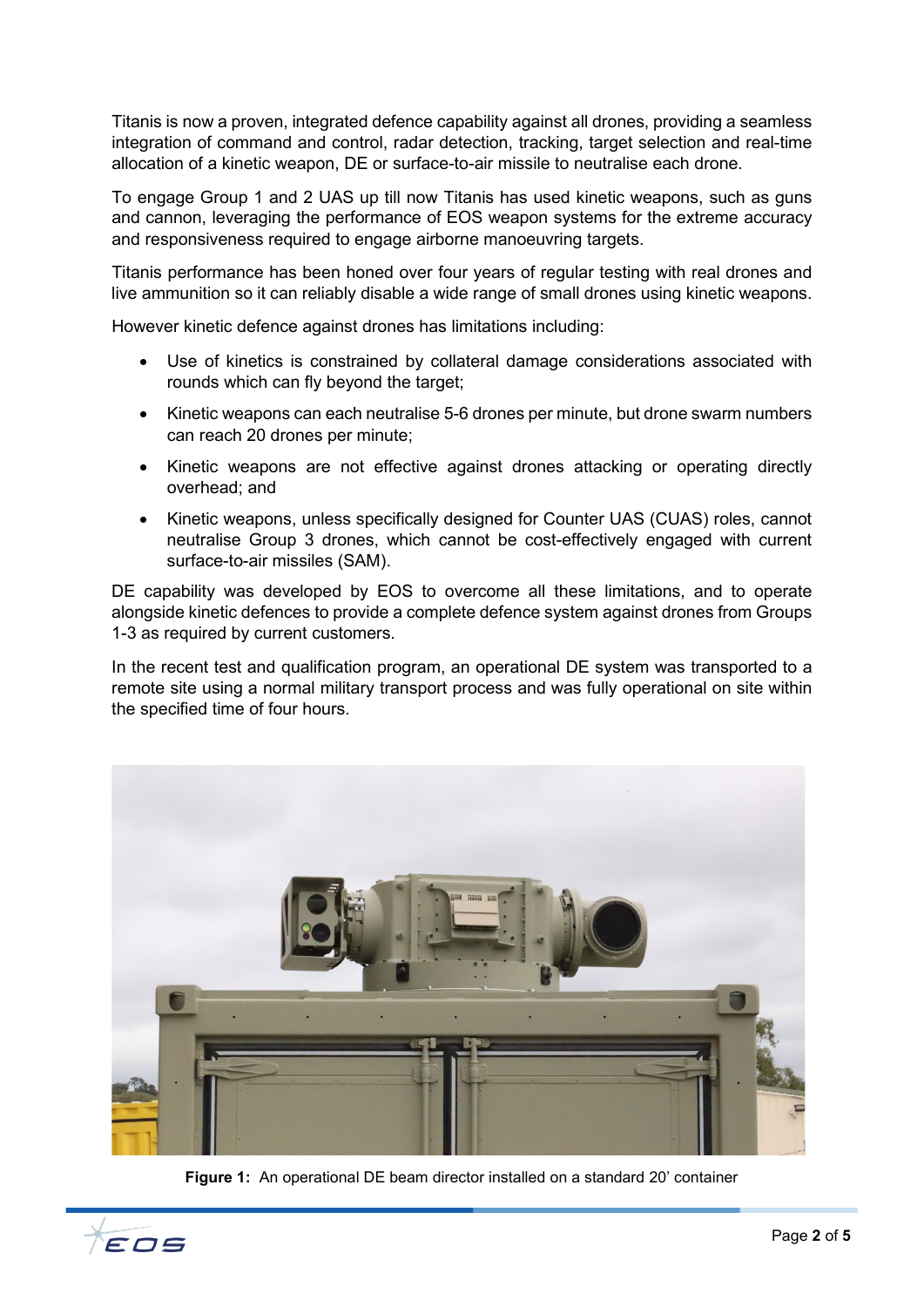Titanis is now a proven, integrated defence capability against all drones, providing a seamless integration of command and control, radar detection, tracking, target selection and real-time allocation of a kinetic weapon, DE or surface-to-air missile to neutralise each drone.

To engage Group 1 and 2 UAS up till now Titanis has used kinetic weapons, such as guns and cannon, leveraging the performance of EOS weapon systems for the extreme accuracy and responsiveness required to engage airborne manoeuvring targets.

Titanis performance has been honed over four years of regular testing with real drones and live ammunition so it can reliably disable a wide range of small drones using kinetic weapons.

However kinetic defence against drones has limitations including:

- Use of kinetics is constrained by collateral damage considerations associated with rounds which can fly beyond the target;
- Kinetic weapons can each neutralise 5-6 drones per minute, but drone swarm numbers can reach 20 drones per minute;
- Kinetic weapons are not effective against drones attacking or operating directly overhead; and
- Kinetic weapons, unless specifically designed for Counter UAS (CUAS) roles, cannot neutralise Group 3 drones, which cannot be cost-effectively engaged with current surface-to-air missiles (SAM).

DE capability was developed by EOS to overcome all these limitations, and to operate alongside kinetic defences to provide a complete defence system against drones from Groups 1-3 as required by current customers.

In the recent test and qualification program, an operational DE system was transported to a remote site using a normal military transport process and was fully operational on site within the specified time of four hours.



**Figure 1:** An operational DE beam director installed on a standard 20' container

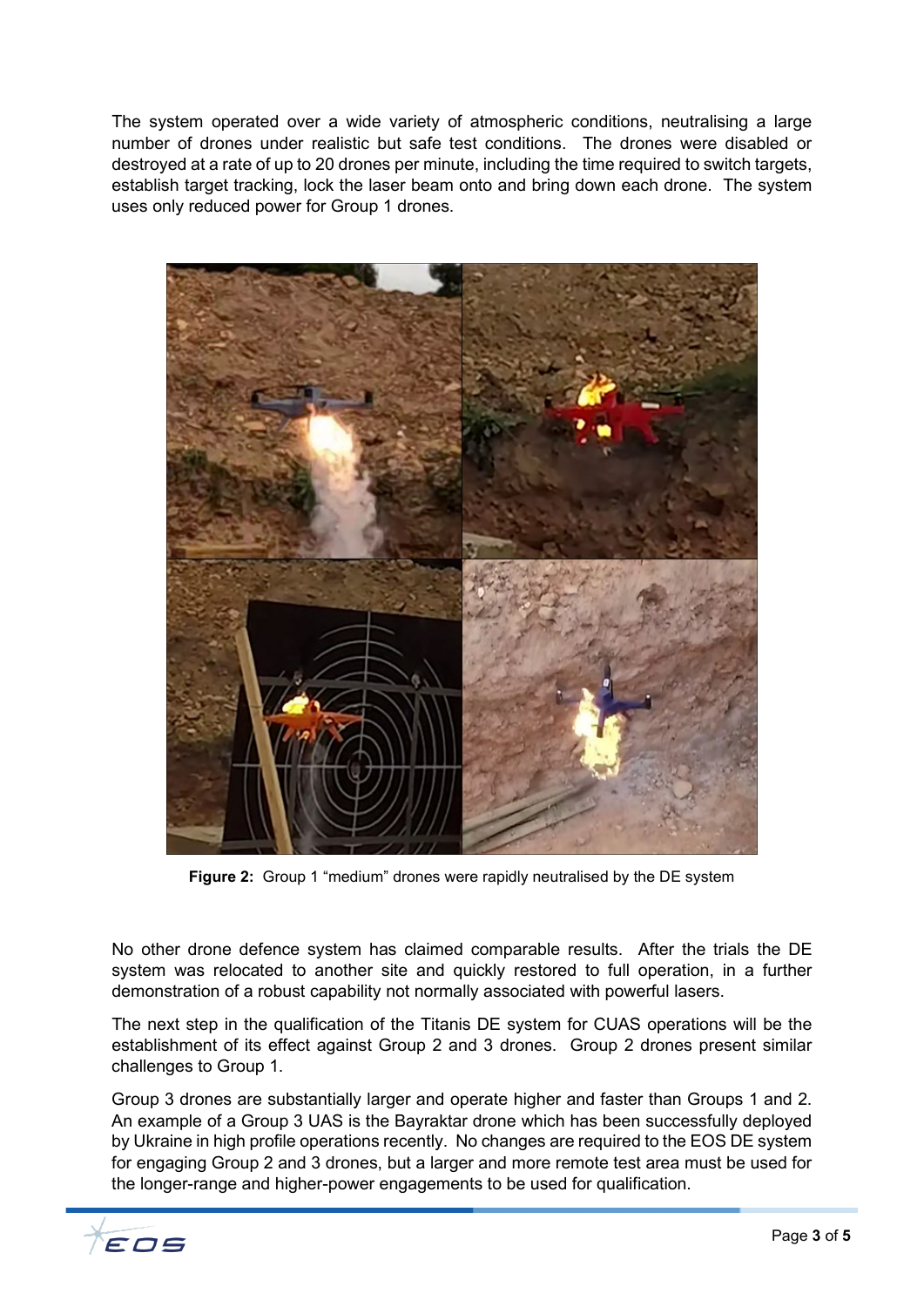The system operated over a wide variety of atmospheric conditions, neutralising a large number of drones under realistic but safe test conditions. The drones were disabled or destroyed at a rate of up to 20 drones per minute, including the time required to switch targets, establish target tracking, lock the laser beam onto and bring down each drone. The system uses only reduced power for Group 1 drones.



**Figure 2:** Group 1 "medium" drones were rapidly neutralised by the DE system

No other drone defence system has claimed comparable results. After the trials the DE system was relocated to another site and quickly restored to full operation, in a further demonstration of a robust capability not normally associated with powerful lasers.

The next step in the qualification of the Titanis DE system for CUAS operations will be the establishment of its effect against Group 2 and 3 drones. Group 2 drones present similar challenges to Group 1.

Group 3 drones are substantially larger and operate higher and faster than Groups 1 and 2. An example of a Group 3 UAS is the Bayraktar drone which has been successfully deployed by Ukraine in high profile operations recently. No changes are required to the EOS DE system for engaging Group 2 and 3 drones, but a larger and more remote test area must be used for the longer-range and higher-power engagements to be used for qualification.

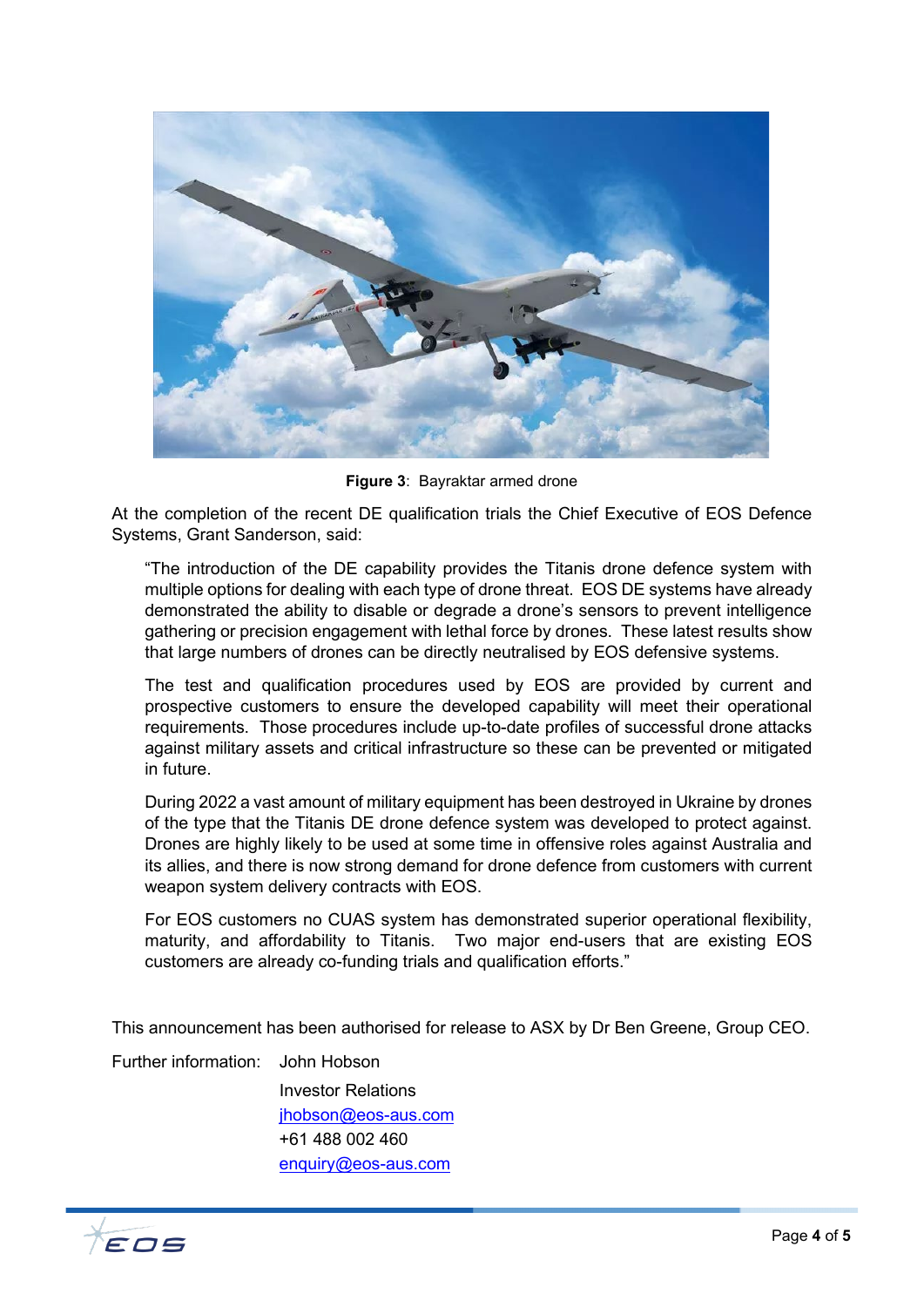

**Figure 3**: Bayraktar armed drone

At the completion of the recent DE qualification trials the Chief Executive of EOS Defence Systems, Grant Sanderson, said:

"The introduction of the DE capability provides the Titanis drone defence system with multiple options for dealing with each type of drone threat. EOS DE systems have already demonstrated the ability to disable or degrade a drone's sensors to prevent intelligence gathering or precision engagement with lethal force by drones. These latest results show that large numbers of drones can be directly neutralised by EOS defensive systems.

The test and qualification procedures used by EOS are provided by current and prospective customers to ensure the developed capability will meet their operational requirements. Those procedures include up-to-date profiles of successful drone attacks against military assets and critical infrastructure so these can be prevented or mitigated in future.

During 2022 a vast amount of military equipment has been destroyed in Ukraine by drones of the type that the Titanis DE drone defence system was developed to protect against. Drones are highly likely to be used at some time in offensive roles against Australia and its allies, and there is now strong demand for drone defence from customers with current weapon system delivery contracts with EOS.

For EOS customers no CUAS system has demonstrated superior operational flexibility, maturity, and affordability to Titanis. Two major end-users that are existing EOS customers are already co-funding trials and qualification efforts."

This announcement has been authorised for release to ASX by Dr Ben Greene, Group CEO.

Further information: John Hobson

Investor Relations [jhobson@eos-aus.com](mailto:jhobson@eos-aus.com) +61 488 002 460 [enquiry@eos-aus.com](mailto:enquiry@eos-aus.com)